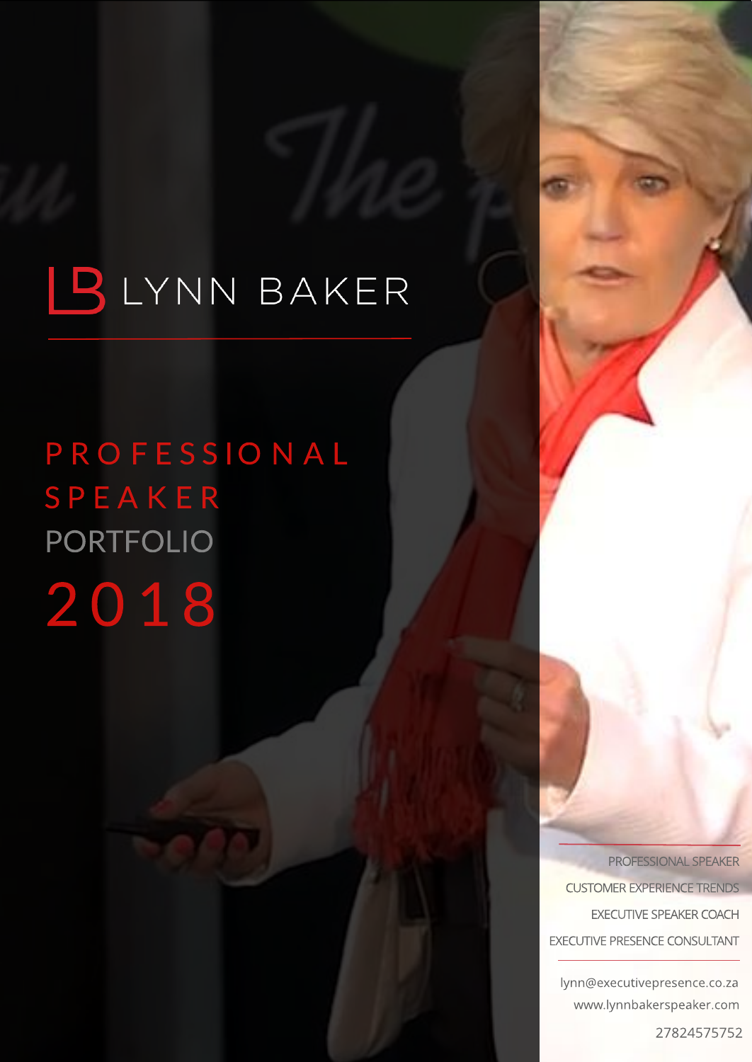# P R O F E S S I O N A L SP EA K E R PORTFOLIO 2 0 1 8

PROFESSIONAL SPEAKER CUSTOMER EXPERIENCE TRENDS EXECUTIVE SPEAKER COACH EXECUTIVE PRESENCE CONSULTANT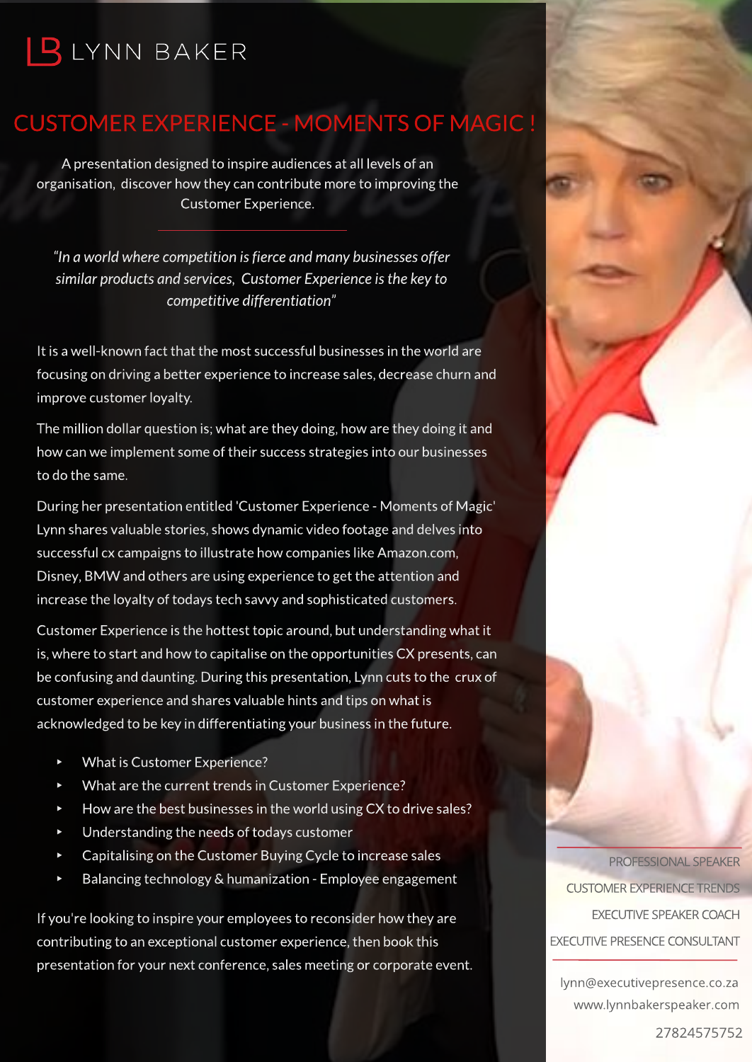### CUSTOMEREXPERIENCE- MOMENTSOF MAGIC !

A presentation designed to inspire audiencesat all levelsof an organisation, discover how they can contribute more to improving the Customer Experience.

**?Inaworldwherecompetitionisfierceandmanybusinessesoffer similar productsandservices, CustomerExperienceisthekeyto competitivedifferentiation?**

It is a well-known fact that the most successful businesses in the world are focusing on driving a better experience to increase sales, decrease churn and improve customer loyalty.

The million dollar question is; what are they doing, how are they doing it and how can we implement some of their success strategies into our businesses to do the same.

During her presentation entitled 'Customer Experience - Moments of Magic' Lynn shares valuable stories, shows dynamic video footage and delves into successful cx campaigns to illustrate how companies like Amazon.com, Disney, BMW and others are using experience to get the attention and increase the loyalty of todays tech savvy and sophisticated customers.

Customer Experience is the hottest topic around, but understanding what it is,where to start and how to capitalise on the opportunitiesCX presents,can be confusing and daunting. During this presentation, Lynn cuts to the crux of customer experience and shares valuable hints and tips on what is acknowledged to be key in differentiating your business in the future.

- What is Customer Experience?
- What are the current trends in Customer Experience?
- How are the best businesses in the world using CX to drive sales?
- Understanding the needs of todays customer
- Capitalising on the Customer Buying Cycle to increase sales
- Balancing technology & humanization Employee engagement

If you're looking to inspire your employees to reconsider how they are contributing to an exceptional customer experience, then book this presentation for your next conference, sales meeting or corporate event.

[PROFESSIONALSPEAKER](http://www.executivepresence.co.za) **CUSTOMER EXPERIENCE TRENDS** EXECUTIVE SPEAKER COACH EXECUTIVE PRESENCE CONSULTANT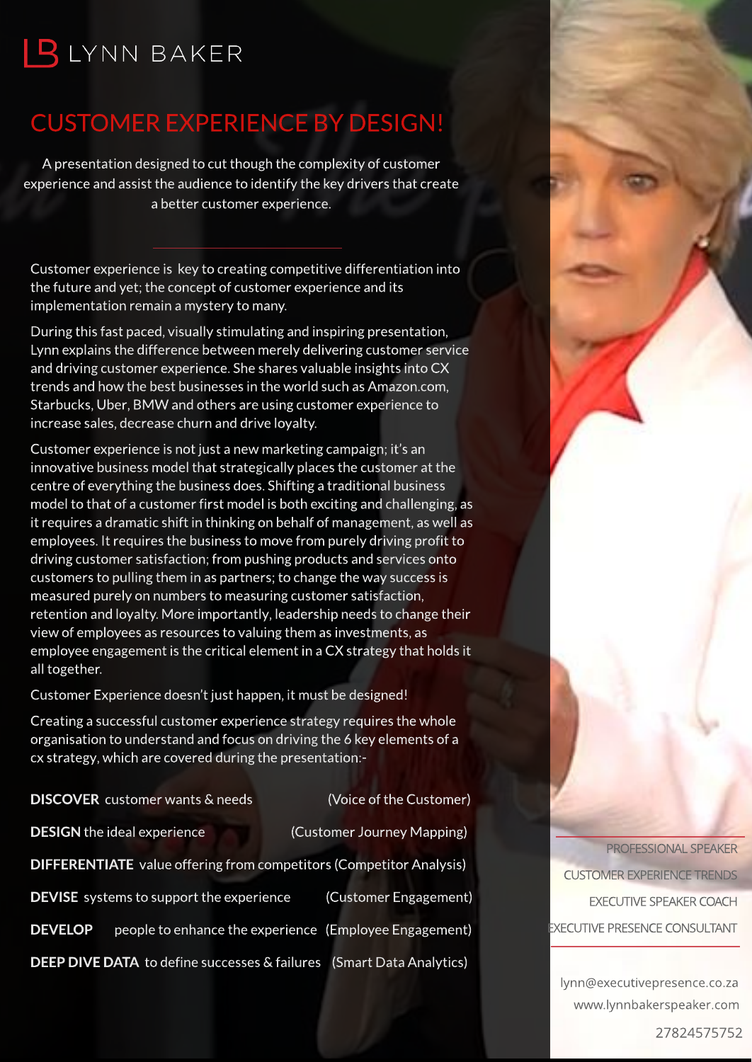### CUSTOMEREXPERIENCEBY DESIGN!

A presentation designed to cut though the complexity of customer experience and assist the audience to identify the key drivers that create a better customer experience.

Customer experience is key to creating competitive differentiation into the future and yet; the concept of customer experience and its implementation remain a mystery to many.

During this fast paced, visually stimulating and inspiring presentation, Lynn explains the difference between merely delivering customer service and driving customer experience. She shares valuable insights into CX trends and how the best businesses in the world such as Amazon.com, Starbucks, Uber, BMW and others are using customer experience to increase sales, decrease churn and drive loyalty.

Customer experience is not just a new marketing campaign; it's an innovative business model that strategically places the customer at the centre of everything the business does. Shifting a traditional business model to that of a customer first model is both exciting and challenging, as it requires a dramatic shift in thinking on behalf of management, as well as employees. It requires the business to move from purely driving profit to driving customer satisfaction; from pushing products and services onto customers to pulling them in as partners; to change the way success is measured purely on numbers to measuring customer satisfaction, retention and loyalty. More importantly, leadership needs to change their view of employees as resources to valuing them as investments, as employee engagement is the critical element in a CX strategy that holds it all together.

Customer Experience doesn't just happen, it must be designed!

Creating a successful customer experience strategy requiresthe whole organisation to understand and focus on driving the 6 key elements of a cx strategy,which are covered during the presentation:-

|                                                                            | <b>DISCOVER</b> customer wants & needs                 |  | (Voice of the Customer)    |
|----------------------------------------------------------------------------|--------------------------------------------------------|--|----------------------------|
|                                                                            | <b>DESIGN</b> the ideal experience                     |  | (Customer Journey Mapping) |
| <b>DIFFERENTIATE</b> value offering from competitors (Competitor Analysis) |                                                        |  |                            |
|                                                                            | <b>DEVISE</b> systems to support the experience        |  | (Customer Engagement)      |
| <b>DEVELOP</b>                                                             | people to enhance the experience (Employee Engagement) |  |                            |
| DEEP DIVE DATA to define successes & failures<br>(Smart Data Analytics)    |                                                        |  |                            |

PROFESSIONAL SPEAKER CUSTOMER EXPERIENCE TRENDS EXECUTIVE SPEAKER COACH EXECUTIVE PRESENCE CONSULTANT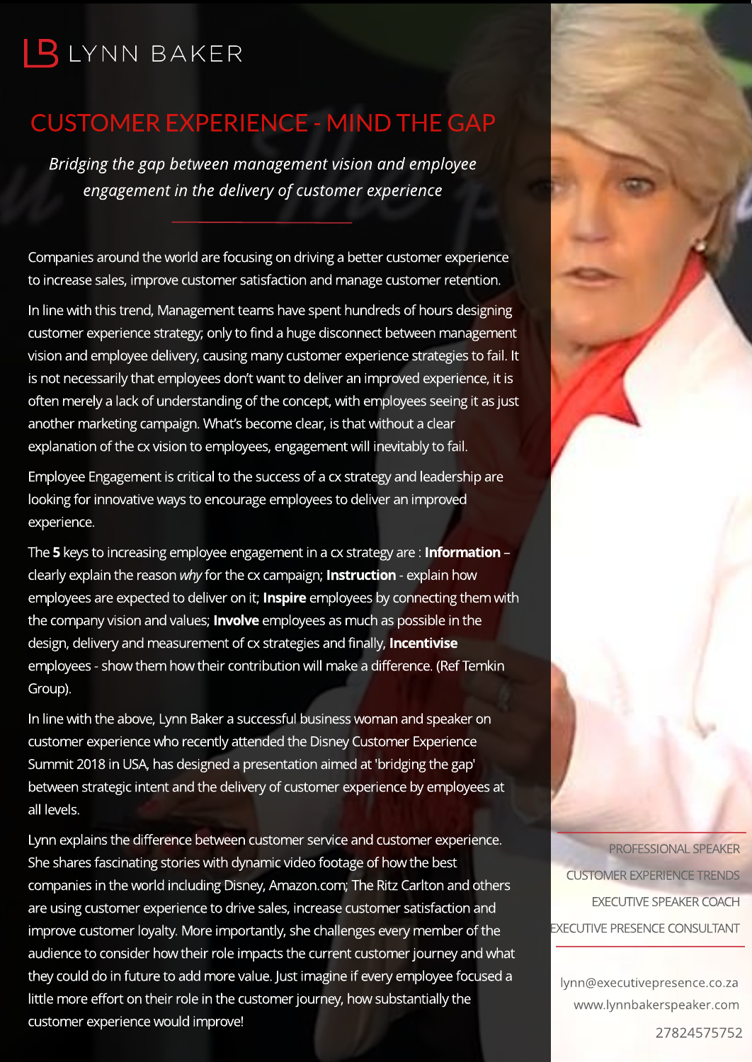### **CUSTOMER EXPERIENCE - MIND THE GAP**

**Bridging the gap between management vision and employee engagement in the delivery of customer experience**

Companies around the world are focusing on driving a better customer experience to increase sales, improve customer satisfaction and manage customer retention.

In line with this trend, Management teams have spent hundreds of hours designing customer experience strategy; only to find a huge disconnect between management vision and employee delivery, causing many customer experience strategies to fail. It is not necessarily that employees don't want to deliver an improved experience, it is often merely a lack of understanding of the concept, with employees seeing it as just another marketing campaign. What's become clear, is that without a clear explanation of the cx vision to employees, engagement will inevitably to fail.

Employee Engagement is critical to the success of a cx strategy and leadership are looking for innovative ways to encourage employees to deliver an improved experience.

The 5 keys to increasing employee engagement in a cx strategy are: Information clearly explain the reason **why**for the cx campaign; Instruction - explain how employees are expected to deliver on it; Inspire employees by connecting them with the company vision and values; **Involve** employees as much as possible in the design, delivery and measurement of cx strategies and finally, **Incentivise** employees - show them how their contribution will make a difference. (Ref Temkin Group).

In line with the above, Lynn Baker a successful business woman and speaker on customer experience who recently attended the Disney Customer Experience Summit 2018 in USA, has designed a presentation aimed at 'bridging the gap' between strategic intent and the delivery of customer experience by employees at all levels.

Lynn explains the difference between customer service and customer experience. She shares fascinating stories with dynamic video footage of how the best companies in the world including Disney, Amazon.com; The Ritz Carlton and others are using customer experience to drive sales, increase customer satisfaction and improve customer loyalty. More importantly, she challenges every member of the audience to consider how their role impacts the current customer journey and what they could do in future to add more value. Just imagine if every employee focused a little more effort on their role in the customer journey, how substantially the customer experience would improve!

PROFESSIONAL SPEAKER **CUSTOMER EXPERIENCE TRENDS** EXECUTIVE SPEAKER COACH EXECUTIVE PRESENCE CONSULTANT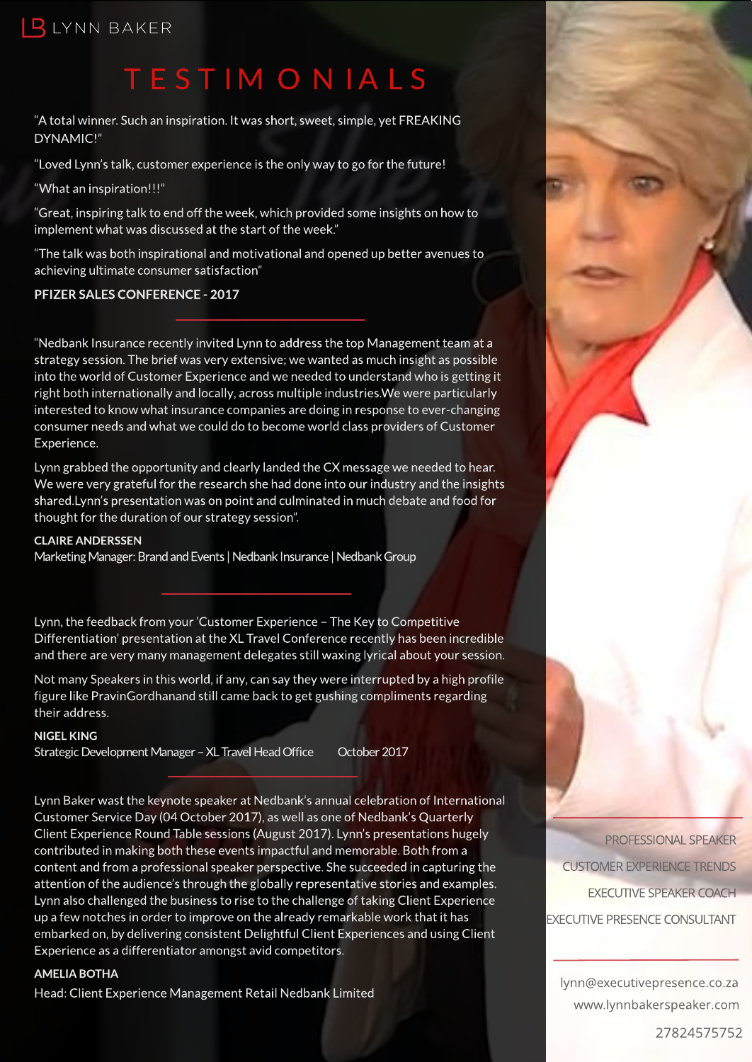# TEST IM ON IALS

"A total winner. Such an inspiration. It was short, sweet, simple, yet FREAKING DYNAMIC!"

"Loved Lynn's talk, customer experience is the only way to go for the future!

?What aninspiration!!!?

"Great, inspiring talk to end off the week, which provided some insights on how to implement what was discussed at the start of the week."

"The talk was both inspirational and motivational and opened up better avenues to achieving ultimate consumer satisfaction"

#### PFIZER SALES CONFERENCE - 2017

?Nedbank Insurancerecently invitedLynntoaddress thetop Management team at a strategy session. The brief was very extensive; we wanted as much insight as possible into the world of Customer Experience and we needed to understand who is getting it right both internationally and locally, across multiple industries. We were particularly interested to know what insurance companies are doing in response to ever-changing consumer needs and what we could do to become world class providers of Customer Experience.

Lynn grabbed the opportunity and clearly landed the CX message we needed to hear. We were very grateful for the research she had done into our industry and the insights shared.Lynn's presentation was on point and culminated in much debate and food for thought for the duration of our strategy session".

#### **CLAIRE ANDERSSEN**

Marketing Manager: Brand and Events | Nedbank Insurance | Nedbank Group

Lynn, the feedback from your 'Customer Experience - The Key to Competitive Differentiation' presentation at the XL Travel Conference recently has been incredible and there are very many management delegates still waxing lyrical about your session.

Not many Speakers in this world, if any, can say they were interrupted by a high profile figure like PravinGordhanand still came back to get gushing compliments regarding their address.

#### NIGELKING

Strategic Development Manager - XL Travel Head Office October 2017

Lynn Baker wast the keynote speaker at Nedbank's annual celebration of International Customer Service Day (04 October 2017), as well as one of Nedbank's Quarterly Client Experience Round Table sessions (August 2017). Lynn's presentations hugely contributed in making both these events impactful and memorable. Both from a content and from a professional speaker perspective. She succeeded in capturing the attention of the audience's through the globally representative stories and examples. Lynn also challenged the business to rise to the challenge of taking Client Experience up a few notches in order to improve on the already remarkable work that it has embarked on, by delivering consistent Delightful Client Experiences and using Client Experience as a differentiator amongst avid competitors.

#### AMELIA BOTHA

Head: Client Experience Management Retail Nedbank Limited

[PROFESSIONALSPEAKER](http://www.executivepresence.co.za) **CUSTOMER EXPERIENCE TRENDS** EXECUTIVE SPEAKER COACH EXECUTIVE PRESENCE CONSULTANT